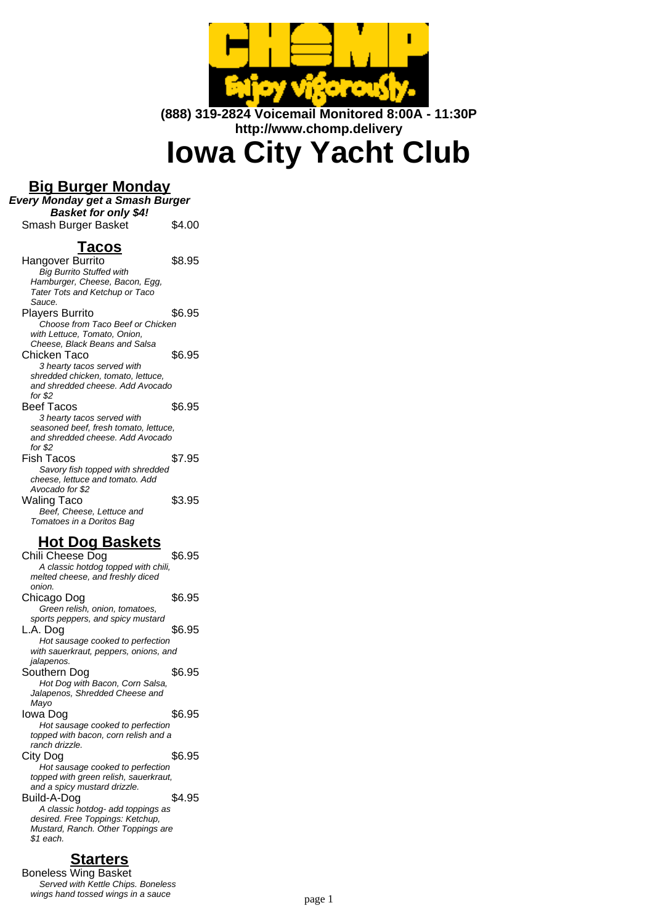

**(888) 319-2824 Voicemail Monitored 8:00A - 11:30P http://www.chomp.delivery**

**Iowa City Yacht Club**

### **Big Burger Monday**

**Every Monday get a Smash Burger Basket for only \$4!**

Smash Burger Basket \$4.00

### **Tacos**

Hangover Burrito \$8.95 Big Burrito Stuffed with Hamburger, Cheese, Bacon, Egg, Tater Tots and Ketchup or Taco Sauce. Players Burrito  $$6.95$ Choose from Taco Beef or Chicken with Lettuce, Tomato, Onion, Cheese, Black Beans and Salsa Chicken Taco \$6.95 3 hearty tacos served with shredded chicken, tomato, lettuce, and shredded cheese. Add Avocado for \$2 Beef Tacos \$6.95 3 hearty tacos served with seasoned beef, fresh tomato, lettuce, and shredded cheese. Add Avocado for \$2 Fish Tacos \$7.95 Savory fish topped with shredded cheese, lettuce and tomato. Add Avocado for \$2 Waling Taco \$3.95 Beef, Cheese, Lettuce and Tomatoes in a Doritos Bag

### **Hot Dog Baskets**

Chili Cheese Dog \$6.95 A classic hotdog topped with chili, melted cheese, and freshly diced onion. Chicago Dog \$6.95 Green relish, onion, tomatoes, sports peppers, and spicy mustard  $L.A.$  Dog  $$6.95$ Hot sausage cooked to perfection with sauerkraut, peppers, onions, and jalapenos. Southern Dog \$6.95 Hot Dog with Bacon, Corn Salsa, Jalapenos, Shredded Cheese and Mayo Iowa Dog \$6.95 Hot sausage cooked to perfection topped with bacon, corn relish and a ranch drizzle. City Dog \$6.95 Hot sausage cooked to perfection topped with green relish, sauerkraut, and a spicy mustard drizzle. Build-A-Dog \$4.95 A classic hotdog- add toppings as desired. Free Toppings: Ketchup, Mustard, Ranch. Other Toppings are \$1 each.

# **Starters**

Boneless Wing Basket Served with Kettle Chips. Boneless wings hand tossed wings in a sauce<br>page 1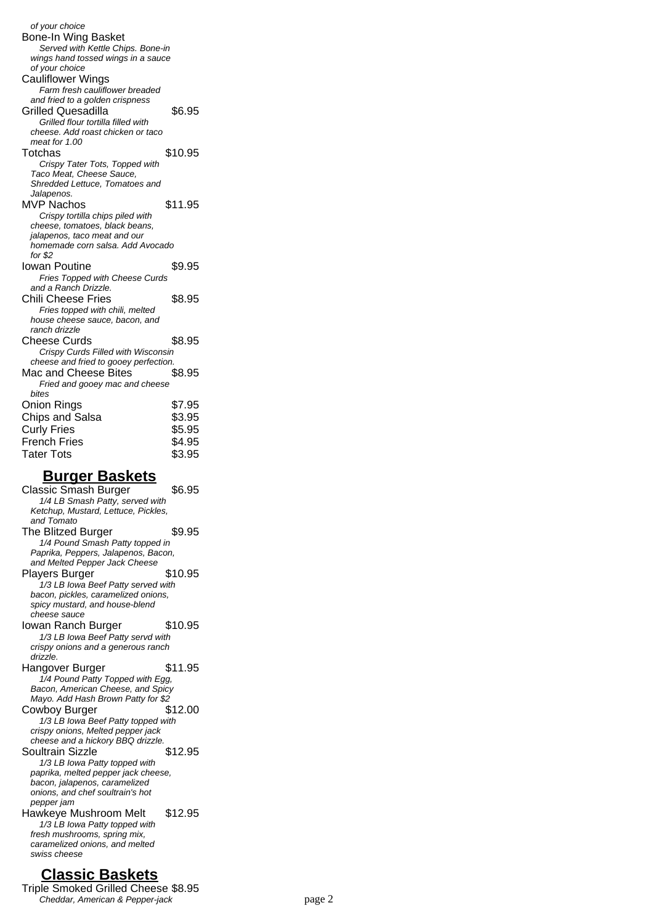of your choice Bone-In Wing Basket Served with Kettle Chips. Bone-in wings hand tossed wings in a sauce of your choice Cauliflower Wings Farm fresh cauliflower breaded and fried to a golden crispness Grilled Quesadilla  $$6.95$ Grilled flour tortilla filled with cheese. Add roast chicken or taco meat for 1.00 Totchas \$10.95 Crispy Tater Tots, Topped with Taco Meat, Cheese Sauce, Shredded Lettuce, Tomatoes and Jalapenos. MVP Nachos \$11.95 Crispy tortilla chips piled with cheese, tomatoes, black beans, jalapenos, taco meat and our homemade corn salsa. Add Avocado for \$2 Iowan Poutine \$9.95 Fries Topped with Cheese Curds and a Ranch Drizzle. Chili Cheese Fries \$8.95 Fries topped with chili, melted house cheese sauce, bacon, and ranch drizzle Cheese Curds \$8.95 Crispy Curds Filled with Wisconsin cheese and fried to gooey perfection. Mac and Cheese Bites \$8.95 Fried and gooey mac and cheese bites Onion Rings \$7.95 Chips and Salsa  $$3.95$ Curly Fries \$5.95 French Fries \$4.95 Tater Tots \$3.95

#### **Burger Baskets**

Classic Smash Burger \$6.95 1/4 LB Smash Patty, served with Ketchup, Mustard, Lettuce, Pickles, and Tomato The Blitzed Burger \$9.95 1/4 Pound Smash Patty topped in Paprika, Peppers, Jalapenos, Bacon, and Melted Pepper Jack Cheese Players Burger \$10.95 1/3 LB Iowa Beef Patty served with bacon, pickles, caramelized onions, spicy mustard, and house-blend cheese sauce Iowan Ranch Burger \$10.95 1/3 LB Iowa Beef Patty servd with crispy onions and a generous ranch drizzle. Hangover Burger \$11.95 1/4 Pound Patty Topped with Egg, Bacon, American Cheese, and Spicy Mayo. Add Hash Brown Patty for \$2 Cowboy Burger \$12.00 1/3 LB Iowa Beef Patty topped with crispy onions, Melted pepper jack cheese and a hickory BBQ drizzle. Soultrain Sizzle \$12.95 1/3 LB Iowa Patty topped with paprika, melted pepper jack cheese, bacon, jalapenos, caramelized onions, and chef soultrain's hot pepper jam Hawkeye Mushroom Melt \$12.95 1/3 LB Iowa Patty topped with fresh mushrooms, spring mix, caramelized onions, and melted swiss cheese

### **Classic Baskets**

Triple Smoked Grilled Cheese \$8.95 Cheddar, American & Pepper-jack page 2